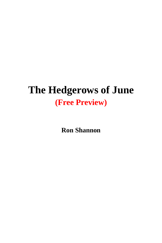## **The Hedgerows of June (Free Preview)**

**Ron Shannon**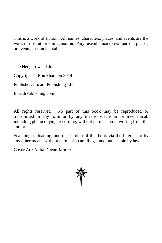This is a work of fiction. All names, characters, places, and events are the work of the author's imagination. Any resemblance to real person, places, or events is coincidental.

The Hedgerows of June

Copyright © Ron Shannon 2014

Publisher: Imzadi Publishing LLC

ImzadiPublishing.com

All rights reserved. No part of this book may be reproduced or transmitted in any form or by any means, electronic or mechanical, including photocopying, recording, without permission in writing from the author.

Scanning, uploading, and distribution of this book via the Internet or by any other means without permission are illegal and punishable by law.

Cover Art: Anita Dugan-Moore

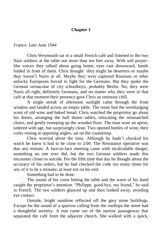## **Chapter 1**

## *France. Late June 1944*

Chris Weymouth sat in a small French café and listened to the two Nazi soldiers at the table not more than ten feet away. With soft prayerlike voices they talked about going home, eyes cast downward, hands folded in front of them. Chris thought they might be deserters or maybe they weren't Nazis at all. Maybe they were captured Russians or other unlucky Europeans forced to fight for the Germans. But they spoke the German vernacular of city schoolboys, probably Berlin. No, they were Nazis all right, definitely Germans, and no matter why they were in that café at that moment their presence gave Chris an ominous chill.

A single streak of afternoon sunlight came through the front window and landed across an empty table. The room had the overhanging scent of old wine and baked bread. Chris watched the proprietor go about his duties, arranging the half dozen tables, relocating the mismatched chairs, and gently sweeping up the wooden floor. The man wore an apron, tattered with age, but surprisingly clean. Two opened bottles of wine, their corks resting at opposing angles, sat on the countertop.

Chris worried about the time. Although he hadn't checked his watch he knew it had to be close to 2:00. The Resistance operative was due any minute. A face-to-face meeting came with incalculable danger, something no one ever did, but the two German soldiers made this encounter closer to suicide. For the fifth time that day he thought about the accuracy of his orders, but he had checked the code too many times for any of it to be a mistake, at least not on his end.

Something had to be done.

The sound of his coins hitting the table and the wave of his hand caught the proprietor's attention. "Philippe, good-bye, my friend," he said in French. The two soldiers glanced up and then looked away, avoiding eye contact.

Outside, bright sunshine reflected off the grey stone buildings. Except for the sound of a sparrow calling from the rooftops the street had a thoughtful serenity. A nun came out of the narrow passageway that separated the café from the adjacent church. She walked with a quick,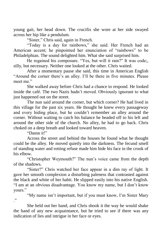young gait, her head down. The crucifix she wore at her side swayed across her hip like a pendulum.

"Sister," Chris said, again in French.

"Today is a day for rainbows," she said. Her French had an American accent; he pinpointed her enunciation of "rainbows" to be Philadelphian. The sound delighted him. What she said surprised him.

He regained his composure. "Yes, but will it rain?" It was code;, silly, but necessary. Neither one looked at the other. Chris waited.

After a momentary pause she said, this time in American English "Around the corner there's an alley. I'll be there in five minutes. Please meet me<sup>"</sup>

She walked away before Chris had a chance to respond. He looked inside the café. The two Nazis hadn't moved. Obviously ignorant to what just happened out on the street.

The nun said around the corner, but which corner? He had lived in this village for the past six years. He thought he knew every passageway and every hiding place, but he couldn't remember an alley around the corner. Without waiting to catch his balance he headed off to his left and around the other side of the church. No alley, he had to go back. Chris choked on a deep breath and looked toward heaven.

"Damn it!"

Across the street and behind the houses he found what he thought could be the alley. He moved quietly into the darkness. The fecund smell of standing water and rotting refuse made him hide his face in the crook of his elbow.

"Christopher Weymouth?" The nun's voice came from the depth of the shadows.

"Sister?" Chris watched her face appear in a dim ray of light. It gave her smooth complexion a disturbing paleness that contrasted against the black and white of her habit. He slipped easily into his native English. "I am at an obvious disadvantage. You know my name, but I don't know yours."

"My name isn't important, but if you must know, I'm Sister Mary ."

She held out her hand, and Chris shook it the way he would shake the hand of any new acquaintance, but he tried to see if there was any indication of lies and intrigue in her face or eyes.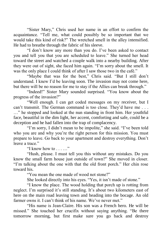"Sister Mary," Chris used her name in an effort to confirm the acquaintance. "Tell me, what could possibly be so important that we would take this kind of risk?" The wretched smell in the alley intensified. He had to breathe through the fabric of his sleeve.

"I don't know any more than you do. I've been asked to contact you and tell you that you are scheduled to leave." She turned her head toward the street and watched a couple walk into a nearby building. After they were out of sight, she faced him again. "I'm sorry about the smell. It was the only place I could think of after I saw those two in the café."

"Maybe that was for the best," Chris said. "But I still don't understand. I knew I'd be leaving soon. The invasion may not come here, but there will be no reason for me to stay if the Allies can break through."

"Indeed!" Sister Mary sounded surprised. "You know about the progress of the invasion?"

"Well enough. I can get coded messages on my receiver, but I can't transmit. The German command is too close. They'd have me . . . …" he stopped and looked at the nun standing in front him. Her youthful face, beautiful in the dim light, her accent, comforting and safe, could be a deception and he had fallen into the trap of complacency.

"I'm sorry, I didn't mean to be impolite," she said. "I've been told who you are and why you're the right person for this mission. You must prepare to leave. Go back to your apartment and destroy everything. Don't leave a trace"

"I know how to . . . …"

"Hush, please. I must tell you this without any mistakes. Do you know the small farm house just outside of town?" She moved in closer. "I'm talking about the one with that the old front porch." Her chin rose toward his.

"You mean the one made of wood not stone?"

She looked directly into his eyes. "Yes, it isn't made of stone."

"I know the place. The wood holding that porch up is rotting from neglect. I'm surprised it's still standing. It's about two kilometers east of here on the main road leaving town and heading into the bocage. An old farmer owns it. I can't think of his name. We've never met."

"His name is Jean-Claire. His son was a French hero. He will be missed." She touched her crucifix without saying anything. "Be there tomorrow morning, but first make sure you go back and destroy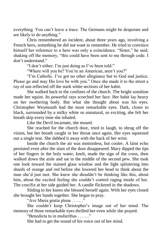everything. You can't leave a trace. The Germans might be desperate and are likely to do anything."

Chris remembered an incident, about three years ago, involving a French hero, something he did not want to remember. He tried to convince himself her reference to a hero was only a coincidence. "Sister," he said, shaking off the memory, "this could have been sent to me through code. I don't understand."

"I don't either. I'm just doing as I've been told."

"Where will you be? You're an American, aren't you?"

"I'm Catholic. I've got no other allegiance but to God and justice. Please go and may His love be with you." Once she made it to the street a ray of sun reflected off the stark white sections of her habit.

She walked back to the confines of the church. The bright sunshine made her squint. Its powerful rays scorched her face. Her habit lay heavy on her sweltering body. But what she thought about was his eyes. Christopher Weymouth had the most remarkable eyes. Dark, closer to black, surrounded by a milky white so unnatural, so exciting, she felt her breath skip every time she inhaled.

Like the Devil incarnate, she mused.

She reached for the church door, tried to laugh, to shrug off the vision, but her breath caught in her throat once again. Her eyes squeezed out a single tear. She dabbed it away with the back of her wrist.

Inside the church the air was motionless, but cooler. A faint echo persisted even after the slam of the door disappeared. Mary dipped the tips of her fingers in the holy water, knelt, made the sign of the cross, then walked down the aisle and sat in the middle of the second pew. She took one look toward the stained glass window and the light splintering into shards of orange and red before she lowered her head to think about the man she'd just met. She knew she shouldn't be thinking like this, about him, about the excited feeling she couldn't control raging inside of her. The crucifix at her side guided her. A candle flickered in the shadows.

Sliding to her knees she blessed herself again. With her eyes closed she brought her hands together. She began to pray.

"Ave Maria gratia plena . . . …"

She couldn't keep Christopher's image out of her mind. The memory of those remarkable eyes thrilled her even while she prayed.

"Benedicta tu in mulieribus . . . …"

She had to get the sound of his voice out of her mind.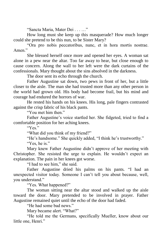"Sancta Maria, Mater Dei . . . …"

How long must she keep up this masquerade? How much longer could she pretend to be this nun, to be Sister Mary?

"Ora pro nobis peccatoribus, nunc, et in hora mortis nostrae. Amen<sup>"</sup>

She blessed herself once more and opened her eyes. A woman sat alone in a pew near the altar. Too far away to hear, but close enough to cause concern. Along the wall to her left were the dark curtains of the confessionals. Mary thought about the sins absolved in the darkness.

The door sent its echo through the church.

Father Augustine sat down, two pews in front of her, but a little closer to the aisle. The man she had trusted more than any other person in the world had grown old. His body had become frail, but his mind and courage had endured the horrors of war.

He rested his hands on his knees. His long, pale fingers contrasted against the crisp fabric of his black pants.

"You met him then."

Father Augustine's voice startled her. She fidgeted, tried to find a comfortable position for her aching knees.

"Yes."

"What did you think of my friend?"

"He's handsome." She quickly added, "I think he's trustworthy."

"Yes, he is."

Mary knew Father Augustine didn't approve of her meeting with Christopher. She resisted the urge to explain. He wouldn't expect an explanation. The pain in her knees got worse.

"I had to see him," she said.

Father Augustine dried his palms on his pants. "I had an unexpected visitor today. Someone I can't tell you about because, well, you understand."

"Yes. What happened?"

The woman sitting near the altar stood and walked up the aisle toward the door. Mary pretended to be involved in prayer. Father Augustine remained quiet until the echo of the door had faded.

"He had some bad news."

Mary became alert. "What?"

"He told me the Germans, specifically Mueller, know about our little one, Henri."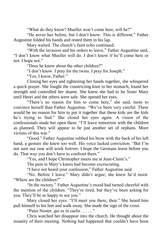"What do they know? Mueller won't come here, will he?"

"He never has before, but I don't know. This is different." Father Augustine folded his hands and rested them in his lap.

Mary waited. The church's faint echo continued.

"With the invasion and his orders to leave," Father Augustine said, "I don't know what Mueller will do. I don't know if he'll come here or not. I hope not."

"Does he know about the other children?"

"I don't know. I pray for the twins. I pray for Joseph."

"Yes, I know, Father."

Closing her eyes and tightening her hands together, she whispered a quick prayer. She fought the constricting knot in her stomach, found her strength and controlled her shame. She knew she had to be Sister Mary until Henri and the others were safe. She opened her eyes.

"There's no reason for him to come here," she said, more to convince herself than Father Augustine. "We've been very careful. There would be no reason for him to put it together that these kids are the kids he's trying to find." She closed her eyes again. A vision of the confessionals made her open them. "I'll leave tomorrow with the children as planned. They will appear to be just another set of orphans. More victims of this war."

"Good." Father Augustine rubbed his brow with the back of his left hand, a gesture she knew too well. His voice lacked conviction. "But I'm not sure our ruse will work forever. I hope the Germans leave before you do. That way you don't have to confront them."

"Yes, and I hope Christopher meets me at Jean-Claire's."

The pain in Mary's knees had become excruciating.

"I have not heard your confession," Father Augustine said.

"No. Before I leave." Mary didn't argue; she knew he'd insist. "Where are the children?"

"In the rectory." Father Augustine's mood had turned cheerful with the mention of the children. "They're tired, but they've been asking for you. They'll be so happy to see you."

Mary closed her eyes. "I'll meet you there, then." She heard him pull himself to his feet and walk away. She made the sign of the cross.

"Pater Noster, qui es in caelis . . . …"

Chris watched her disappear into the church. He thought about the insanity of their meeting. Nothing had happened that couldn't have been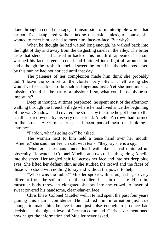done through a coded message, a transmission of unintelligible words that he could've deciphered without taking this risk. Unless, of course, she wanted to meet him, or had to meet him, face-to-face. But why?

When he thought he had waited long enough, he walked back into the light of day and away from the disgusting smell in the alley. The bitter taste that stench had caused in back of his mouth disappeared. The sun warmed his face. Pigeons cooed and fluttered into flight all around him and although the fresh air smelled sweet, he found his thoughts possessed by this nun he had not noticed until that day.

The paleness of her complexion made him think she probably didn't leave the comfort of the cloister very often. It felt wrong she would've been asked to do such a dangerous task. Yet she mentioned a mission. Could she be part of a mission? If so, what could possibly be so important?

Deep in thought, at times perplexed, he spent most of the afternoon walking through the French village where he had lived since the beginning of the war. Shadows had covered the streets by the time he got home to the small cabaret owned by his very dear friend, Amélie. A crowd had formed in the street. A German truck had been parked near the building's entrance.

"Pardon, what's going on?" he asked.

The woman next to him held a tense hand over her mouth. "Amélie," she said, her French soft with tears, "they say she is a spy."

"Mueller," Chris said under his breath like he had muttered an obscenity. He watched Colonel Mueller and two of his thugs drag Amélie into the street. Her tangled hair fell across her face and into her deep blue eyes. She lifted her defiant chin as she studied the crowd and the faces of those who stood with nothing to say and without the power to help.

"Who owns the radio?" Mueller spoke with a rough slur, so very different from the soft tones of the soldiers back in the café. His thin, muscular body threw an elongated shadow into the crowd. A layer of sweat covered his handsome, clean-shaven face.

Chris knew Colonel Mueller well. He had spent the past four years gaining this man's confidence. He had fed him information just true enough to make him believe it and just false enough to produce bad decisions at the highest level of German command. Chris never mentioned how he got the information and Mueller never asked.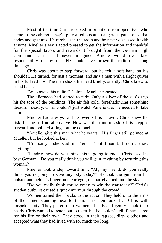Most of the time Chris received information from operatives who came to the cabaret. They'd play a tedious and dangerous game of verbal codes and gestures. He rarely used the radio and he never discussed it with anyone. Mueller always acted pleased to get the information and thankful for the special favors and rewards it brought from the German High Command. Chris had never imagined Amélie would ever take responsibility for any of it. He should have thrown the radio out a long time ago.

Chris was about to step forward, but he felt a soft hand on his shoulder. He turned, for just a moment, and saw a man with a slight quiver in his full red lips. The man shook his head briefly, silently. Chris knew to stand back.

"Who owns this radio?" Colonel Mueller repeated.

The afternoon had started to fade. Only a sliver of the sun's rays hit the tops of the buildings. The air felt cold, foreshadowing something dreadful, deadly. Chris couldn't just watch Amélie die. He needed to take action.

Mueller had always said he owed Chris a favor. Chris knew the risk, but he had no alternative. Now was the time to ask. Chris stepped forward and pointed a finger at the colonel.

"Amélie, give this man what he wants." His finger still pointed at Mueller, but he looked at her.

"I'm sorry," she said in French, "but I can't. I don't know anything."

"Landric, how do you think this is going to end?" Chris used his best German. "Do you really think you will gain anything by torturing this woman?"

Mueller took a step toward him, "Ah, my friend, do you really think you're going to save anybody today?" He took the gun from his holster and held his finger on the trigger, the barrel aimed into the sky.

"Do you really think you're going to win the war today?" Chris's sudden outburst caused a quick murmur through the crowd.

Women turned their backs to the action. They held onto the arms of their men standing next to them. The men looked at Chris with unspoken pity. They patted their women's hands and gently shook their heads. Chris wanted to reach out to them, but he couldn't tell if they feared for his life or their own. They stood in their ragged, dirty clothes and accepted what they had lived with for much too long.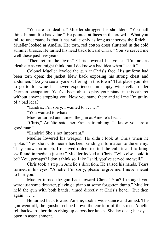"You are an idealist," Mueller shrugged his shoulders. "You still think human life has value." He pointed at faces in the crowd. "What you fail to understand is that it has value only as long as it serves the Reich." Mueller looked at Amélie. Her torn, red cotton dress fluttered in the cold summer breeze. He turned his head back toward Chris. "You've served me well these past few years."

"Then return the favor." Chris lowered his voice. "I'm not as idealistic as you might think, but I do know a bad idea when I see it."

Colonel Mueller leveled the gun at Chris's face. His uniform had been torn open; the jacket blew back exposing his strong chest and abdomen. "Do you see anyone suffering in this town? That place you like to go to for wine has never experienced an empty wine cellar under German occupation. You've been able to play your piano in this cabaret without anyone stopping you. Now you stand there and tell me I'm guilty of a bad idea?"

"Landric, I'm sorry. I wanted to . . . …"

"You wanted to what?"

Mueller turned and aimed the gun at Amélie's head.

"Chris," Amélie said, her French trembling. "I know you are a good man."

"Landric! She's not important."

Mueller lowered his weapon. He didn't look at Chris when he spoke. "Yes, she is. Someone has been sending information to the enemy. They know too much. I received orders to find the culprit and to bring swift and immediate justice." Mueller looked at Chris. "Who else could it be? You, perhaps? I don't think so. Like I said, you've served me well."

Chris took a step in Amélie's direction. He raised his hands. Tears formed in his eyes. "Amélie, I'm sorry, please forgive me. I never meant to hurt you."

Mueller turned the gun back toward Chris. "You? I thought you were just some deserter, playing a piano at some forgotten dump." Mueller held the gun with both hands, aimed directly at Chris's head. "But then again . . . …"

He turned back toward Amélie, took a wide stance and aimed. The gun went off, the gunshot echoed down the corridor of the street. Amélie fell backward, her dress rising up across her knees. She lay dead; her eyes open in astonishment.